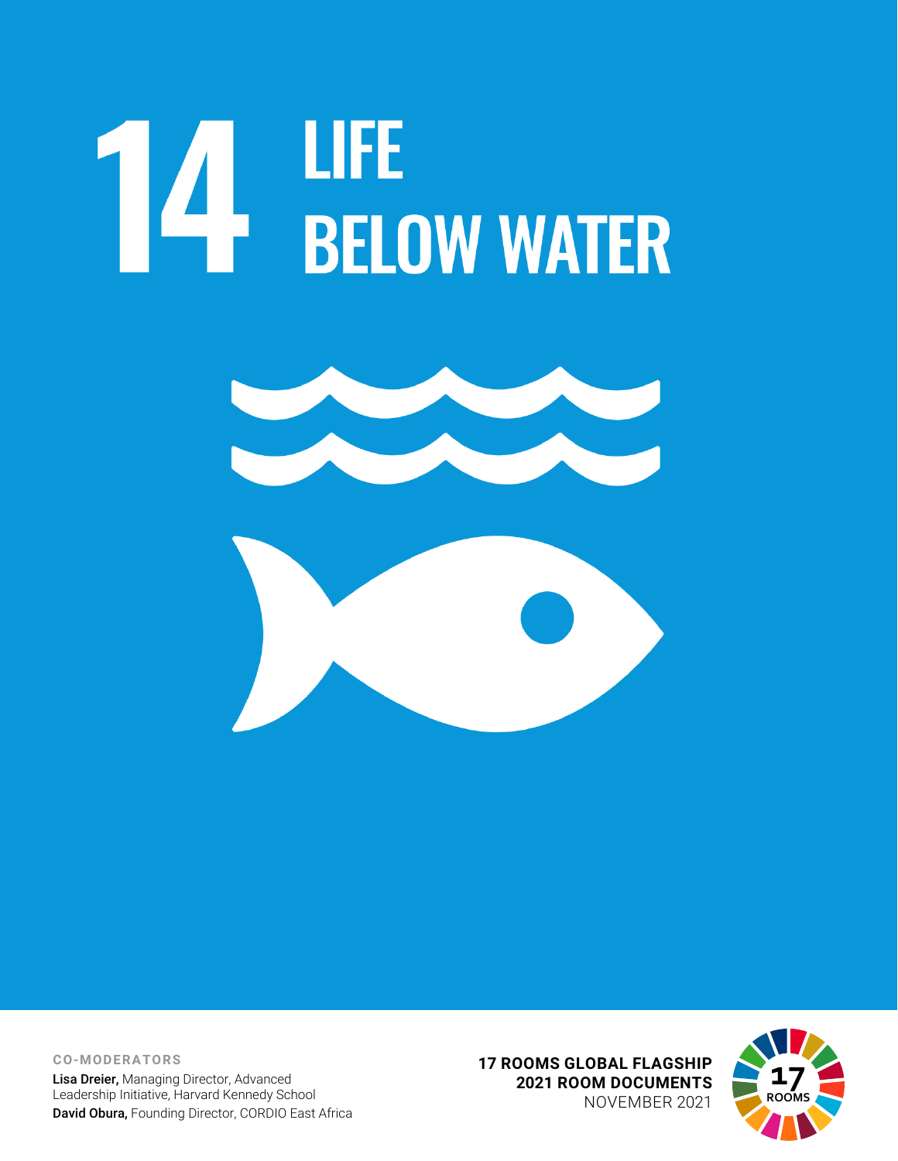# **14 LIFE**<br>BELOW WATER



**CO-MODERATORS** Lisa Dreier, Managing Director, Advanced Leadership Initiative, Harvard Kennedy School David Obura, Founding Director, CORDIO East Africa **17 ROOMS GLOBAL FLAGSHIP 2021 ROOM DOCUMENTS** NOVEMBER 2021

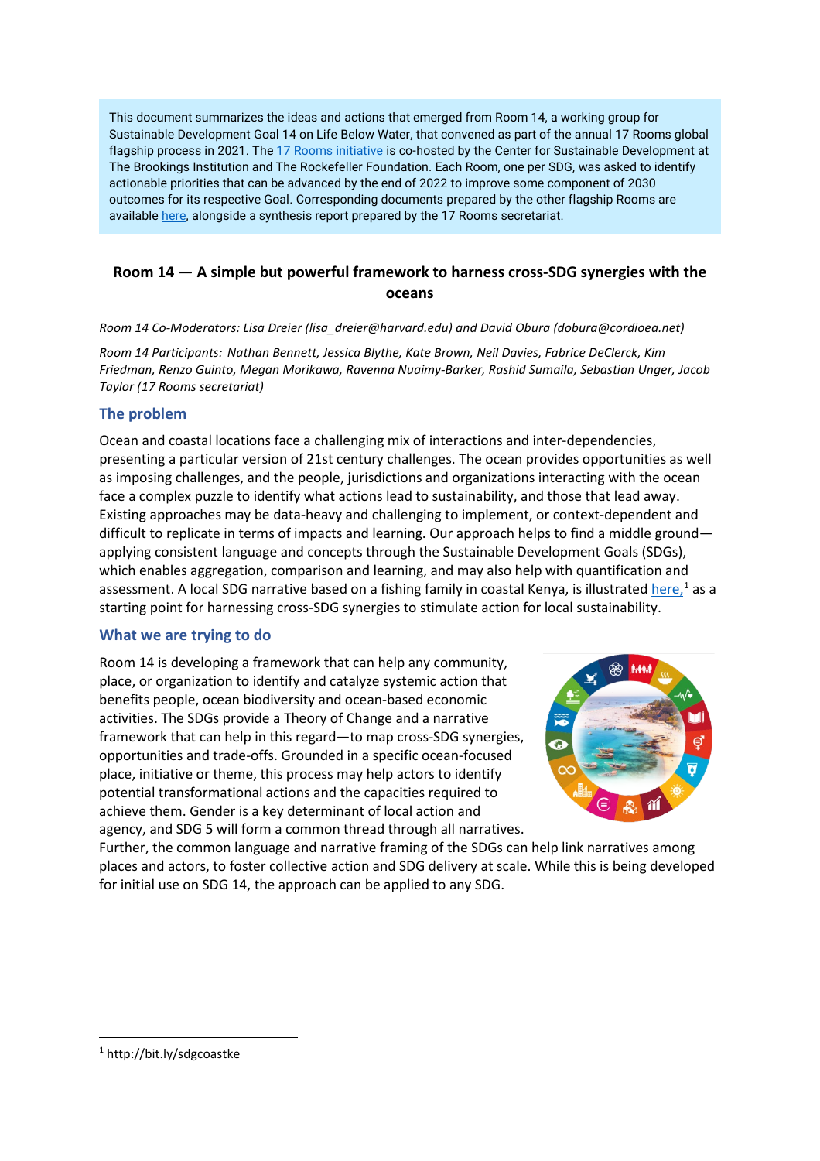This document summarizes the ideas and actions that emerged from Room 14, a working group for Sustainable Development Goal 14 on Life Below Water, that convened as part of the annual 17 Rooms global flagship process in 2021. Th[e 17 Rooms initiative](https://www.brookings.edu/project/17-rooms/) is co-hosted by the Center for Sustainable Development at The Brookings Institution and The Rockefeller Foundation. Each Room, one per SDG, was asked to identify actionable priorities that can be advanced by the end of 2022 to improve some component of 2030 outcomes for its respective Goal. Corresponding documents prepared by the other flagship Rooms are availabl[e here,](http://www.brookings.edu/17rooms2021) alongside a synthesis report prepared by the 17 Rooms secretariat.

## **Room 14 — A simple but powerful framework to harness cross-SDG synergies with the oceans**

*Room 14 Co-Moderators: Lisa Dreier (lisa\_dreier@harvard.edu) and David Obura (dobura@cordioea.net)* 

*Room 14 Participants: Nathan Bennett, Jessica Blythe, Kate Brown, Neil Davies, Fabrice DeClerck, Kim Friedman, Renzo Guinto, Megan Morikawa, Ravenna Nuaimy-Barker, Rashid Sumaila, Sebastian Unger, Jacob Taylor (17 Rooms secretariat)*

#### **The problem**

Ocean and coastal locations face a challenging mix of interactions and inter-dependencies, presenting a particular version of 21st century challenges. The ocean provides opportunities as well as imposing challenges, and the people, jurisdictions and organizations interacting with the ocean face a complex puzzle to identify what actions lead to sustainability, and those that lead away. Existing approaches may be data-heavy and challenging to implement, or context-dependent and difficult to replicate in terms of impacts and learning. Our approach helps to find a middle ground applying consistent language and concepts through the Sustainable Development Goals (SDGs), which enables aggregation, comparison and learning, and may also help with quantification and assessment. A local SDG narrative based on a fishing family in coastal Kenya, is illustrated <u>here, [1](#page-1-0)</u> as a starting point for harnessing cross-SDG synergies to stimulate action for local sustainability.

#### **What we are trying to do**

Room 14 is developing a framework that can help any community, place, or organization to identify and catalyze systemic action that benefits people, ocean biodiversity and ocean-based economic activities. The SDGs provide a Theory of Change and a narrative framework that can help in this regard—to map cross-SDG synergies, opportunities and trade-offs. Grounded in a specific ocean-focused place, initiative or theme, this process may help actors to identify potential transformational actions and the capacities required to achieve them. Gender is a key determinant of local action and agency, and SDG 5 will form a common thread through all narratives.



Further, the common language and narrative framing of the SDGs can help link narratives among places and actors, to foster collective action and SDG delivery at scale. While this is being developed for initial use on SDG 14, the approach can be applied to any SDG.

<span id="page-1-0"></span><sup>1</sup> http://bit.ly/sdgcoastke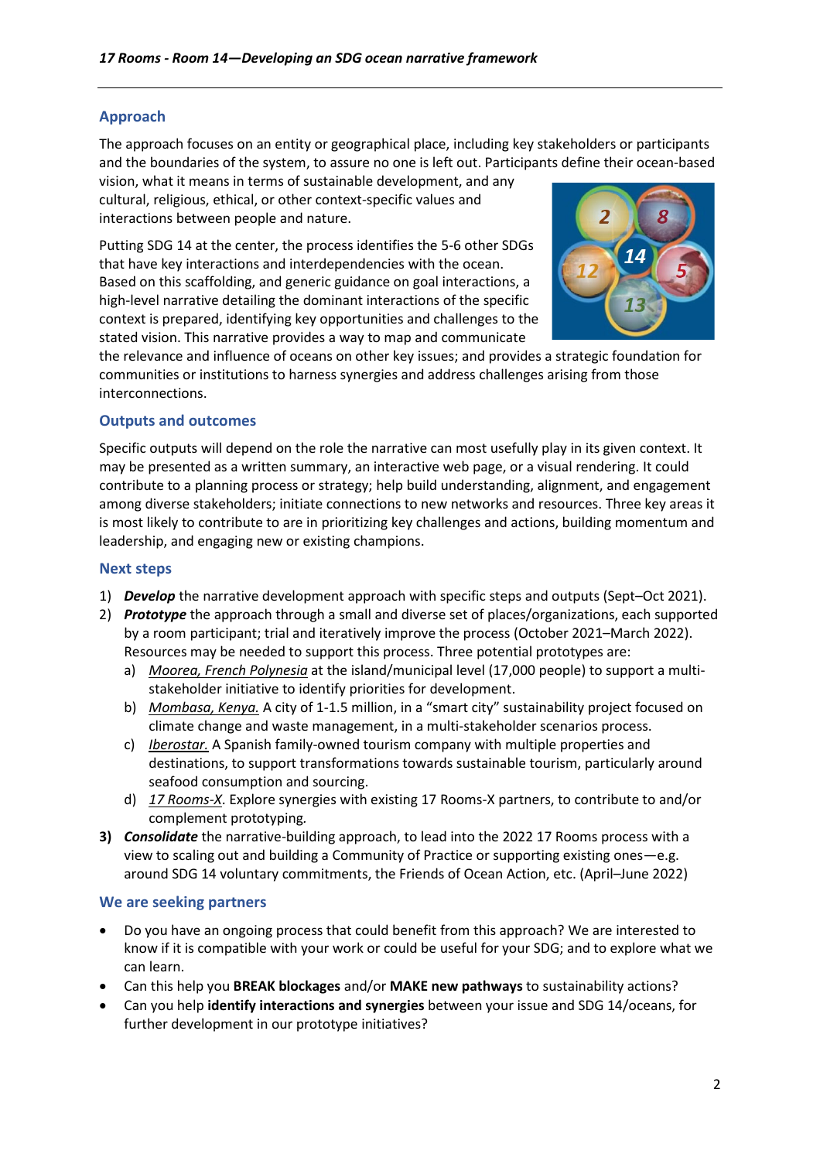## **Approach**

The approach focuses on an entity or geographical place, including key stakeholders or participants and the boundaries of the system, to assure no one is left out. Participants define their ocean-based

vision, what it means in terms of sustainable development, and any cultural, religious, ethical, or other context-specific values and interactions between people and nature.

Putting SDG 14 at the center, the process identifies the 5-6 other SDGs that have key interactions and interdependencies with the ocean. Based on this scaffolding, and generic guidance on goal interactions, a high-level narrative detailing the dominant interactions of the specific context is prepared, identifying key opportunities and challenges to the stated vision. This narrative provides a way to map and communicate



the relevance and influence of oceans on other key issues; and provides a strategic foundation for communities or institutions to harness synergies and address challenges arising from those interconnections.

# **Outputs and outcomes**

Specific outputs will depend on the role the narrative can most usefully play in its given context. It may be presented as a written summary, an interactive web page, or a visual rendering. It could contribute to a planning process or strategy; help build understanding, alignment, and engagement among diverse stakeholders; initiate connections to new networks and resources. Three key areas it is most likely to contribute to are in prioritizing key challenges and actions, building momentum and leadership, and engaging new or existing champions.

#### **Next steps**

- 1) *Develop* the narrative development approach with specific steps and outputs (Sept–Oct 2021).
- 2) *Prototype* the approach through a small and diverse set of places/organizations, each supported by a room participant; trial and iteratively improve the process (October 2021–March 2022). Resources may be needed to support this process. Three potential prototypes are:
	- a) *Moorea, French Polynesia* at the island/municipal level (17,000 people) to support a multistakeholder initiative to identify priorities for development.
	- b) *Mombasa, Kenya.* A city of 1-1.5 million, in a "smart city" sustainability project focused on climate change and waste management, in a multi-stakeholder scenarios process.
	- c) *Iberostar.* A Spanish family-owned tourism company with multiple properties and destinations, to support transformations towards sustainable tourism, particularly around seafood consumption and sourcing.
	- d) *17 Rooms-X*. Explore synergies with existing 17 Rooms-X partners, to contribute to and/or complement prototyping*.*
- **3)** *Consolidate* the narrative-building approach, to lead into the 2022 17 Rooms process with a view to scaling out and building a Community of Practice or supporting existing ones—e.g. around SDG 14 voluntary commitments, the Friends of Ocean Action, etc. (April–June 2022)

## **We are seeking partners**

- Do you have an ongoing process that could benefit from this approach? We are interested to know if it is compatible with your work or could be useful for your SDG; and to explore what we can learn.
- Can this help you **BREAK blockages** and/or **MAKE new pathways** to sustainability actions?
- Can you help **identify interactions and synergies** between your issue and SDG 14/oceans, for further development in our prototype initiatives?